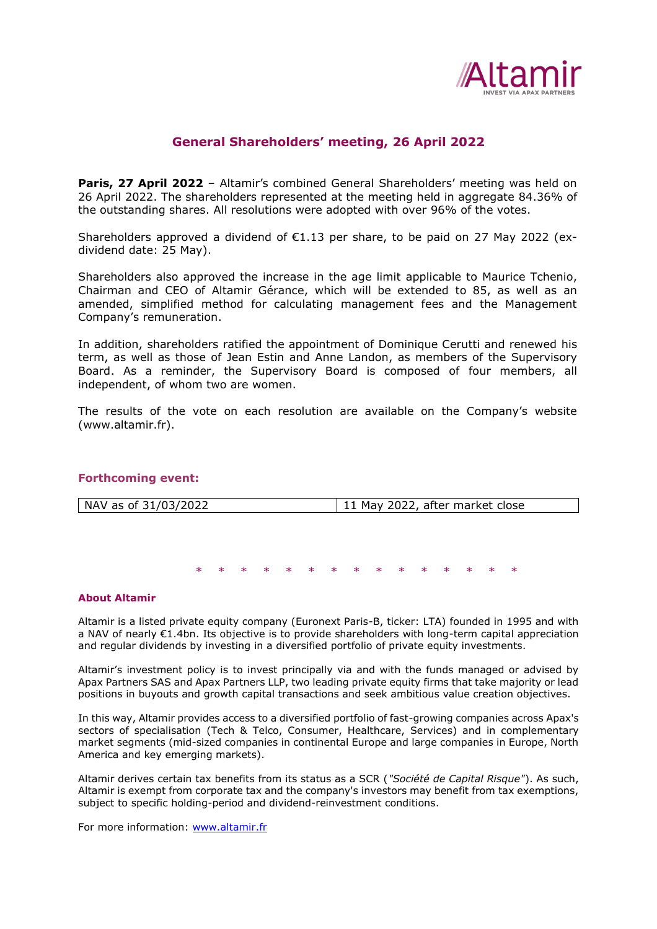

# **General Shareholders' meeting, 26 April 2022**

**Paris, 27 April 2022** – Altamir's combined General Shareholders' meeting was held on 26 April 2022. The shareholders represented at the meeting held in aggregate 84.36% of the outstanding shares. All resolutions were adopted with over 96% of the votes.

Shareholders approved a dividend of  $E1.13$  per share, to be paid on 27 May 2022 (exdividend date: 25 May).

Shareholders also approved the increase in the age limit applicable to Maurice Tchenio, Chairman and CEO of Altamir Gérance, which will be extended to 85, as well as an amended, simplified method for calculating management fees and the Management Company's remuneration.

In addition, shareholders ratified the appointment of Dominique Cerutti and renewed his term, as well as those of Jean Estin and Anne Landon, as members of the Supervisory Board. As a reminder, the Supervisory Board is composed of four members, all independent, of whom two are women.

The results of the vote on each resolution are available on the Company's website (www.altamir.fr).

## **Forthcoming event:**

|  | NAV as of 31/03/2022 | 11 May 2022, after market close |
|--|----------------------|---------------------------------|
|--|----------------------|---------------------------------|

\* \* \* \* \* \* \* \* \* \* \* \* \* \* \*

#### **About Altamir**

Altamir is a listed private equity company (Euronext Paris-B, ticker: LTA) founded in 1995 and with a NAV of nearly €1.4bn. Its objective is to provide shareholders with long-term capital appreciation and regular dividends by investing in a diversified portfolio of private equity investments.

Altamir's investment policy is to invest principally via and with the funds managed or advised by Apax Partners SAS and Apax Partners LLP, two leading private equity firms that take majority or lead positions in buyouts and growth capital transactions and seek ambitious value creation objectives.

In this way, Altamir provides access to a diversified portfolio of fast-growing companies across Apax's sectors of specialisation (Tech & Telco, Consumer, Healthcare, Services) and in complementary market segments (mid-sized companies in continental Europe and large companies in Europe, North America and key emerging markets).

Altamir derives certain tax benefits from its status as a SCR (*"Société de Capital Risque"*). As such, Altamir is exempt from corporate tax and the company's investors may benefit from tax exemptions, subject to specific holding-period and dividend-reinvestment conditions.

For more information: [www.altamir.fr](http://www.altamir.fr/)